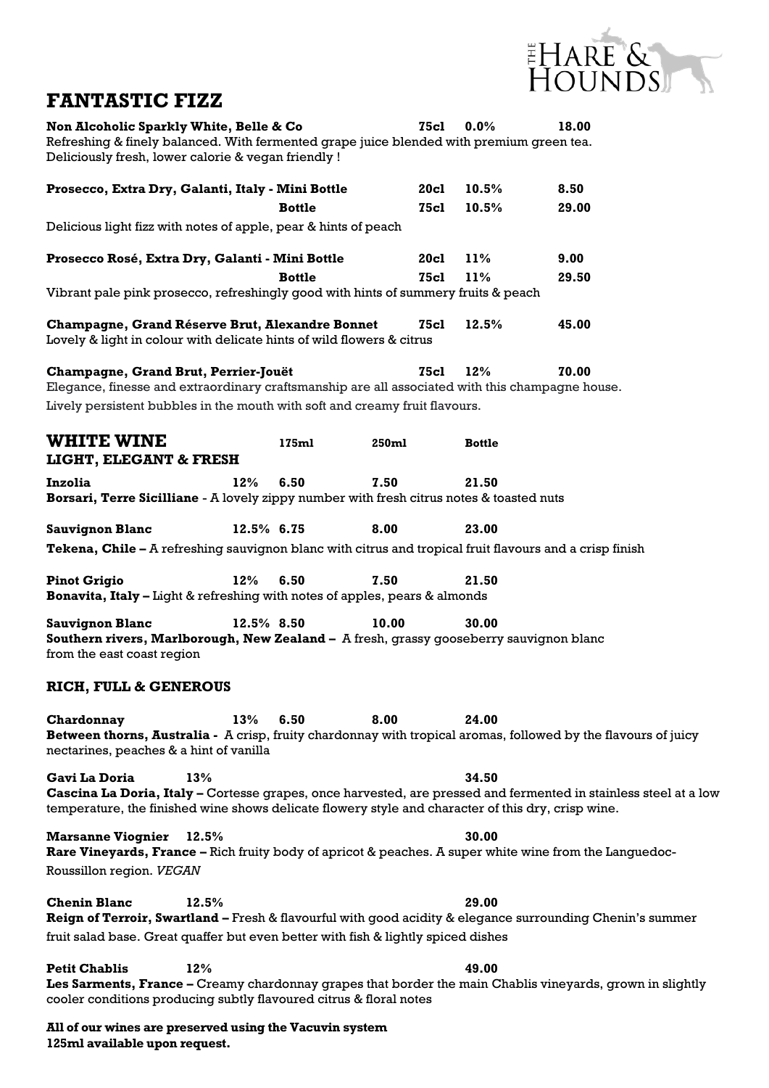

## **FANTASTIC FIZZ**

| Non Alcoholic Sparkly White, Belle & Co<br>Refreshing & finely balanced. With fermented grape juice blended with premium green tea.<br>Deliciously fresh, lower calorie & vegan friendly ! |            |               |             | <b>75cl</b> | 0.0%          | 18.00                                                                                                            |  |  |
|--------------------------------------------------------------------------------------------------------------------------------------------------------------------------------------------|------------|---------------|-------------|-------------|---------------|------------------------------------------------------------------------------------------------------------------|--|--|
| Prosecco, Extra Dry, Galanti, Italy - Mini Bottle                                                                                                                                          |            |               |             | 20cl        | 10.5%         | 8.50                                                                                                             |  |  |
|                                                                                                                                                                                            |            | <b>Bottle</b> |             | <b>75cl</b> | 10.5%         | 29.00                                                                                                            |  |  |
| Delicious light fizz with notes of apple, pear & hints of peach                                                                                                                            |            |               |             |             |               |                                                                                                                  |  |  |
| Prosecco Rosé, Extra Dry, Galanti - Mini Bottle                                                                                                                                            |            |               |             | <b>20cl</b> | 11%           | 9.00                                                                                                             |  |  |
|                                                                                                                                                                                            |            | <b>Bottle</b> |             | <b>75cl</b> | 11%           | 29.50                                                                                                            |  |  |
| Vibrant pale pink prosecco, refreshingly good with hints of summery fruits & peach                                                                                                         |            |               |             |             |               |                                                                                                                  |  |  |
| Champagne, Grand Réserve Brut, Alexandre Bonnet<br>Lovely & light in colour with delicate hints of wild flowers & citrus                                                                   |            |               |             | 75cl        | 12.5%         | 45.00                                                                                                            |  |  |
| Champagne, Grand Brut, Perrier-Jouët<br>Elegance, finesse and extraordinary craftsmanship are all associated with this champagne house.                                                    |            |               | <b>75cl</b> | 12%         | 70.00         |                                                                                                                  |  |  |
| Lively persistent bubbles in the mouth with soft and creamy fruit flavours.                                                                                                                |            |               |             |             |               |                                                                                                                  |  |  |
| <b>WHITE WINE</b><br><b>LIGHT, ELEGANT &amp; FRESH</b>                                                                                                                                     |            | 175ml         | 250ml       |             | <b>Bottle</b> |                                                                                                                  |  |  |
| <b>Inzolia</b>                                                                                                                                                                             |            |               | 7.50        |             |               |                                                                                                                  |  |  |
| Borsari, Terre Sicilliane - A lovely zippy number with fresh citrus notes & toasted nuts                                                                                                   | 12%        | 6.50          |             |             | 21.50         |                                                                                                                  |  |  |
| <b>Sauvignon Blanc</b>                                                                                                                                                                     | 12.5% 6.75 |               | 8.00        |             | 23.00         |                                                                                                                  |  |  |
| <b>Tekena, Chile</b> – A refreshing sauvignon blanc with citrus and tropical fruit flavours and a crisp finish                                                                             |            |               |             |             |               |                                                                                                                  |  |  |
|                                                                                                                                                                                            |            |               |             |             |               |                                                                                                                  |  |  |
| <b>Pinot Grigio</b><br>Bonavita, Italy - Light & refreshing with notes of apples, pears & almonds                                                                                          | 12%        | 6.50          | 7.50        |             | 21.50         |                                                                                                                  |  |  |
| <b>Sauvignon Blanc</b><br>Southern rivers, Marlborough, New Zealand - A fresh, grassy gooseberry sauvignon blanc<br>from the east coast region                                             | 12.5% 8.50 |               | 10.00       |             | 30.00         |                                                                                                                  |  |  |
| <b>RICH, FULL &amp; GENEROUS</b>                                                                                                                                                           |            |               |             |             |               |                                                                                                                  |  |  |
| Chardonnay                                                                                                                                                                                 | 13%        | 6.50          | 8.00        |             | 24.00         |                                                                                                                  |  |  |
| Between thorns, Australia - A crisp, fruity chardonnay with tropical aromas, followed by the flavours of juicy<br>nectarines, peaches & a hint of vanilla                                  |            |               |             |             |               |                                                                                                                  |  |  |
| <b>Gavi La Doria</b>                                                                                                                                                                       | 13%        |               |             |             | 34.50         |                                                                                                                  |  |  |
| temperature, the finished wine shows delicate flowery style and character of this dry, crisp wine.                                                                                         |            |               |             |             |               | Cascina La Doria, Italy - Cortesse grapes, once harvested, are pressed and fermented in stainless steel at a low |  |  |
| <b>Marsanne Viognier</b><br>Rare Vineyards, France – Rich fruity body of apricot & peaches. A super white wine from the Languedoc-                                                         | 12.5%      |               |             |             | 30.00         |                                                                                                                  |  |  |
| Roussillon region. VEGAN                                                                                                                                                                   |            |               |             |             |               |                                                                                                                  |  |  |
| <b>Chenin Blanc</b>                                                                                                                                                                        | 12.5%      |               |             |             | 29.00         |                                                                                                                  |  |  |
| Reign of Terroir, Swartland - Fresh & flavourful with good acidity & elegance surrounding Chenin's summer                                                                                  |            |               |             |             |               |                                                                                                                  |  |  |
| fruit salad base. Great quaffer but even better with fish & lightly spiced dishes                                                                                                          |            |               |             |             |               |                                                                                                                  |  |  |
| <b>Petit Chablis</b>                                                                                                                                                                       | 12%        |               |             |             | 49.00         |                                                                                                                  |  |  |
| cooler conditions producing subtly flavoured citrus & floral notes                                                                                                                         |            |               |             |             |               | Les Sarments, France - Creamy chardonnay grapes that border the main Chablis vineyards, grown in slightly        |  |  |

**All of our wines are preserved using the Vacuvin system 125ml available upon request.**